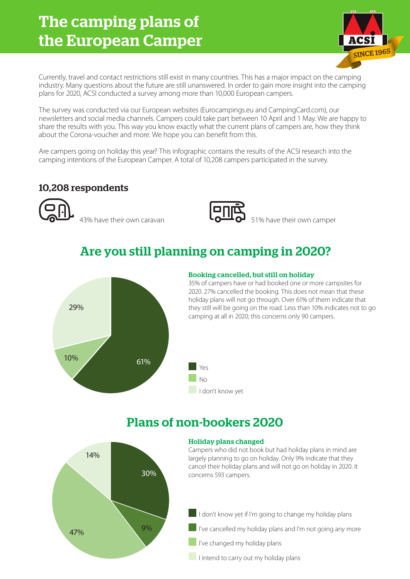# The camping plans of the European Camper



Currently, travel and contact restrictions still exist in many countries. This has a major impact on the camping industry. Many questions about the future are still unanswered. In order to gain more insight into the camping plans for 2020, ACSI conducted a survey among more than 10,000 European campers.

The survey was conducted via our European websites (Eurocampings.eu and CampingCard.com), our newsletters and social media channels. Campers could take part between 10 April and 1 May. We are happy to share the results with you. This way you know exactly what the current plans of campers are, how they think about the Corona-voucher and more. We hope you can benefit from this.

Are campers going on holiday this year? This infographic contains the results of the ACSI research into the camping intentions of the European Camper. A total of 10,208 campers participated in the survey.

### 10,208 respondents

 $\overline{13\%}$  have their own caravan  $\overline{13\%}$  51% have their own camper



## Are you still planning on camping in 2020?



#### Booking cancelled, but still on holiday

35% of campers have or had booked one or more campsites for 2020. 27% cancelled the booking. This does not mean that these holiday plans will not go through. Over 61% of them indicate that they still will be going on the road. Less than 10% indicates not to go camping at all in 2020; this concerns only 90 campers.

## Plans of non-bookers 2020

Yes  $N_{\Omega}$ 

I don't know yet